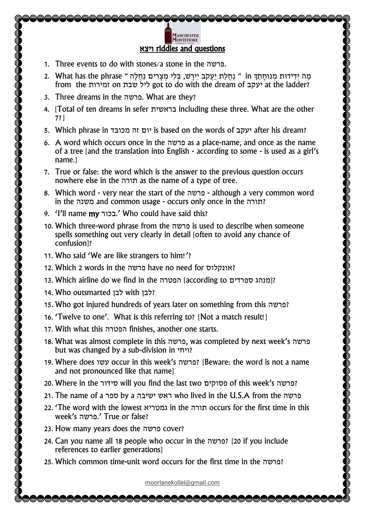## Manch<mark>ester</mark><br>Montefiore ויצא riddles and questions

- 1. Three events to do with stones/a stone in the פרשה.
- מַה יְּדִידוּת מְנוּחָתֵךְ in " נַחֲלַת יַעֲקֹב יִירַשׁ, בִּלִי מִצַּרִים נַחֲלַה " in נֵחֲ לִוּחָתֵךְ in בִּ from the זמירות on שבת ליל got to do with the dream of יעקב at the ladder?
- 3. Three dreams in the פרשה. What are they?
- 4. [Total of ten dreams in sefer בראשית including these three. What are the other 7?]
- 5. Which phrase in מכובד זה יום is based on the words of יעקב after his dream?
- 6. A word which occurs once in the פרשה as a place-name, and once as the name of a tree [and the translation into English - according to some - is used as a girl's name.]
- 7. True or false: the word which is the answer to the previous question occurs nowhere else in the תורה as the name of a type of tree.
- 8. Which word very near the start of the פרשה although a very common word in the משנה and common usage - occurs only once in the תורה?
- 9. 'I'll name my בכור.' Who could have said this?
- 10. Which three-word phrase from the פרשה is used to describe when someone spells something out very clearly in detail [often to avoid any chance of confusion]?
- 11. Who said 'We are like strangers to him!'?
- 12. Which 2 words in the פרשה have no need for אונקלוס ?
- 13. Which airline do we find in the הפטרה] according to ספרדים?
- 14. Who outsmarted לבן with לבן?
- 15. Who got injured hundreds of years later on something from this פרשה?
- 16. 'Twelve to one'. What is this referring to? [Not a match result!]
- 17. With what this הפטרה finishes, another one starts.
- 18. What was almost complete in this פרשה, was completed by next week's פרשה but was changed by a sub-division in ויחי ?
- 19. Where does עשו occur in this week's פרשה] ?Beware: the word is not a name and not pronounced like that name]
- 20. Where in the סידור will you find the last two פסוקים of this week's פרשה?
- 21. The name of a ספר by a ישיבה ראש who lived in the U.S.A from the פרשה
- 22. 'The word with the lowest גמטריא in the תורה occurs for the first time in this week's פרשה. 'True or false?
- 23. How many years does the פרשה cover?
- 24. Can you name all 18 people who occur in the פרשה] ?20 if you include references to earlier generations]
- 25. Which common time-unit word occurs for the first time in the פרשה?

[moorlanekollel@gmail.com](mailto:moorlanekollel@gmail.com)